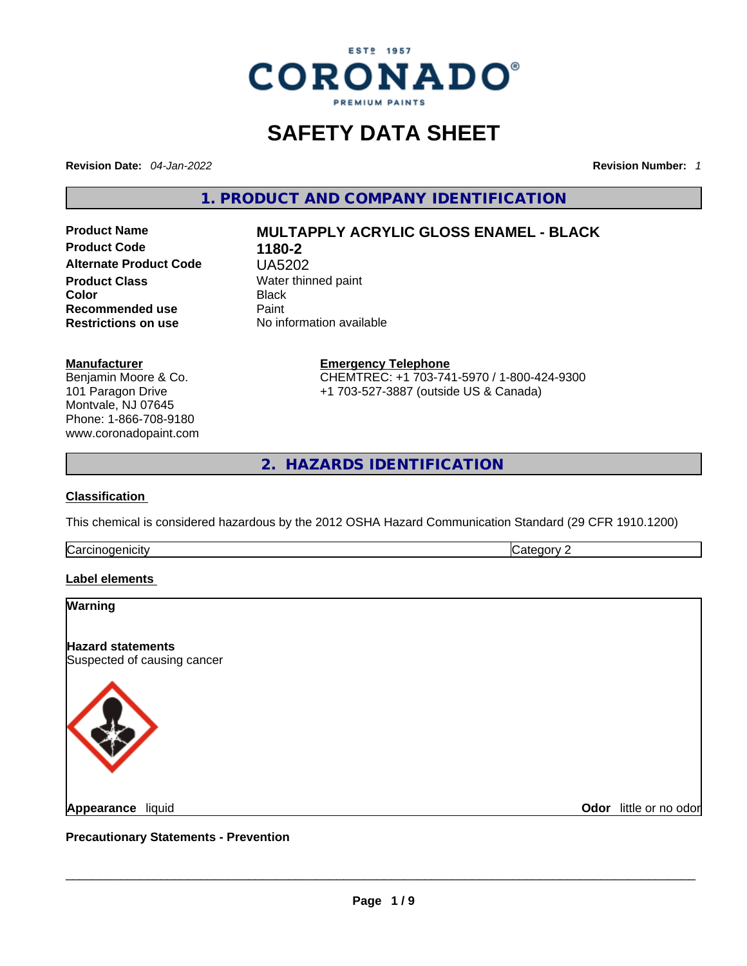

# **SAFETY DATA SHEET**

**Revision Date:** *04-Jan-2022* **Revision Number:** *1*

**1. PRODUCT AND COMPANY IDENTIFICATION** 

**Product Code 1180-2 Alternate Product Code** UA5202 **Product Class Water thinned paint**<br> **Color** Black **Color** Black **Recommended use** Paint<br> **Restrictions on use** No inf

# **Product Name MULTAPPLY ACRYLIC GLOSS ENAMEL - BLACK**

**No information available** 

#### **Manufacturer**

Benjamin Moore & Co. 101 Paragon Drive Montvale, NJ 07645 Phone: 1-866-708-9180 www.coronadopaint.com **Emergency Telephone**

CHEMTREC: +1 703-741-5970 / 1-800-424-9300 +1 703-527-3887 (outside US & Canada)

**2. HAZARDS IDENTIFICATION** 

#### **Classification**

This chemical is considered hazardous by the 2012 OSHA Hazard Communication Standard (29 CFR 1910.1200)

**Carcinogenicity** Category 2

**Label elements** 

# **Warning Hazard statements** Suspected of causing cancer **Appearance** liquid \_\_\_\_\_\_\_\_\_\_\_\_\_\_\_\_\_\_\_\_\_\_\_\_\_\_\_\_\_\_\_\_\_\_\_\_\_\_\_\_\_\_\_\_\_\_\_\_\_\_\_\_\_\_\_\_\_\_\_\_\_\_\_\_\_\_\_\_\_\_\_\_\_\_\_\_\_\_\_\_\_\_\_\_\_\_\_\_\_\_\_\_\_ **Odor** little or no odor

**Precautionary Statements - Prevention**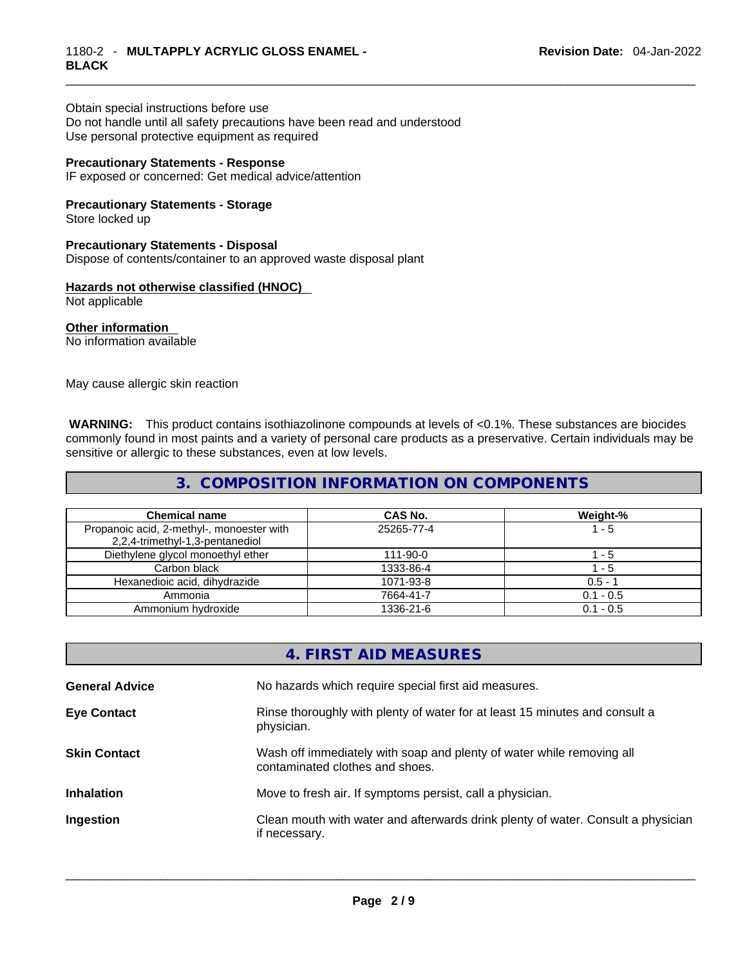# \_\_\_\_\_\_\_\_\_\_\_\_\_\_\_\_\_\_\_\_\_\_\_\_\_\_\_\_\_\_\_\_\_\_\_\_\_\_\_\_\_\_\_\_\_\_\_\_\_\_\_\_\_\_\_\_\_\_\_\_\_\_\_\_\_\_\_\_\_\_\_\_\_\_\_\_\_\_\_\_\_\_\_\_\_\_\_\_\_\_\_\_\_ 1180-2 - **MULTAPPLY ACRYLIC GLOSS ENAMEL - BLACK**

Obtain special instructions before use Do not handle until all safety precautions have been read and understood Use personal protective equipment as required

#### **Precautionary Statements - Response**

IF exposed or concerned: Get medical advice/attention

# **Precautionary Statements - Storage**

Store locked up

#### **Precautionary Statements - Disposal**

Dispose of contents/container to an approved waste disposal plant

#### **Hazards not otherwise classified (HNOC)**

Not applicable

**Other information**  No information available

May cause allergic skin reaction

 **WARNING:** This product contains isothiazolinone compounds at levels of <0.1%. These substances are biocides commonly found in most paints and a variety of personal care products as a preservative. Certain individuals may be sensitive or allergic to these substances, even at low levels.

#### **3. COMPOSITION INFORMATION ON COMPONENTS**

| <b>Chemical name</b>                                                         | <b>CAS No.</b> | Weight-%    |
|------------------------------------------------------------------------------|----------------|-------------|
| Propanoic acid, 2-methyl-, monoester with<br>2,2,4-trimethyl-1,3-pentanediol | 25265-77-4     | $1 - 5$     |
| Diethylene glycol monoethyl ether                                            | 111-90-0       | $1 - 5$     |
| Carbon black                                                                 | 1333-86-4      | 1 - 5       |
| Hexanedioic acid, dihydrazide                                                | 1071-93-8      | $0.5 - 1$   |
| Ammonia                                                                      | 7664-41-7      | $0.1 - 0.5$ |
| Ammonium hydroxide                                                           | 1336-21-6      | $0.1 - 0.5$ |

## **4. FIRST AID MEASURES**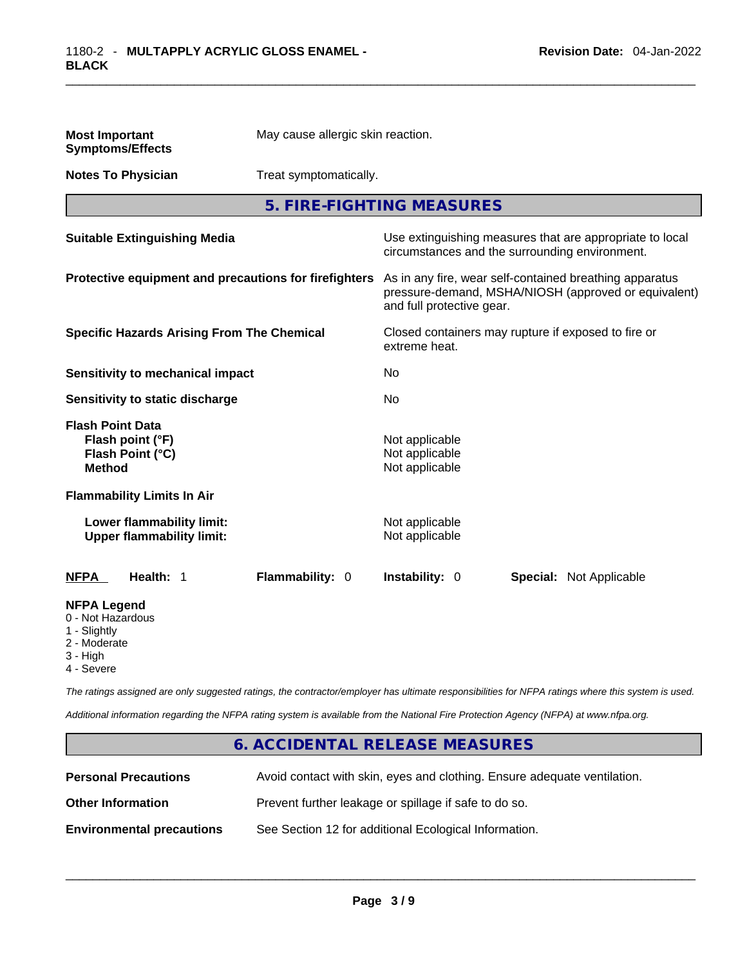| <b>Most Important</b><br><b>Symptoms/Effects</b>                                                                                                                                                      | May cause allergic skin reaction. |                                                                                                            |                                |  |
|-------------------------------------------------------------------------------------------------------------------------------------------------------------------------------------------------------|-----------------------------------|------------------------------------------------------------------------------------------------------------|--------------------------------|--|
| <b>Notes To Physician</b>                                                                                                                                                                             | Treat symptomatically.            |                                                                                                            |                                |  |
|                                                                                                                                                                                                       | 5. FIRE-FIGHTING MEASURES         |                                                                                                            |                                |  |
| <b>Suitable Extinguishing Media</b>                                                                                                                                                                   |                                   | Use extinguishing measures that are appropriate to local<br>circumstances and the surrounding environment. |                                |  |
| Protective equipment and precautions for firefighters<br>As in any fire, wear self-contained breathing apparatus<br>pressure-demand, MSHA/NIOSH (approved or equivalent)<br>and full protective gear. |                                   |                                                                                                            |                                |  |
| <b>Specific Hazards Arising From The Chemical</b>                                                                                                                                                     |                                   | Closed containers may rupture if exposed to fire or<br>extreme heat.                                       |                                |  |
| <b>Sensitivity to mechanical impact</b>                                                                                                                                                               |                                   | No.                                                                                                        |                                |  |
| Sensitivity to static discharge                                                                                                                                                                       |                                   | No                                                                                                         |                                |  |
| <b>Flash Point Data</b><br>Flash point (°F)<br>Flash Point (°C)<br><b>Method</b>                                                                                                                      |                                   | Not applicable<br>Not applicable<br>Not applicable                                                         |                                |  |
| <b>Flammability Limits In Air</b>                                                                                                                                                                     |                                   |                                                                                                            |                                |  |
| Lower flammability limit:<br><b>Upper flammability limit:</b>                                                                                                                                         |                                   | Not applicable<br>Not applicable                                                                           |                                |  |
| <b>NFPA</b><br>Health: 1                                                                                                                                                                              | Flammability: 0                   | <b>Instability: 0</b>                                                                                      | <b>Special: Not Applicable</b> |  |
| <b>NFPA Legend</b><br>0 - Not Hazardous<br>1 - Slightly<br>2 - Moderate<br>3 - High<br>4 - Severe                                                                                                     |                                   |                                                                                                            |                                |  |

*The ratings assigned are only suggested ratings, the contractor/employer has ultimate responsibilities for NFPA ratings where this system is used.* 

*Additional information regarding the NFPA rating system is available from the National Fire Protection Agency (NFPA) at www.nfpa.org.* 

## **6. ACCIDENTAL RELEASE MEASURES**

| <b>Personal Precautions</b>      | Avoid contact with skin, eyes and clothing. Ensure adequate ventilation. |
|----------------------------------|--------------------------------------------------------------------------|
| <b>Other Information</b>         | Prevent further leakage or spillage if safe to do so.                    |
| <b>Environmental precautions</b> | See Section 12 for additional Ecological Information.                    |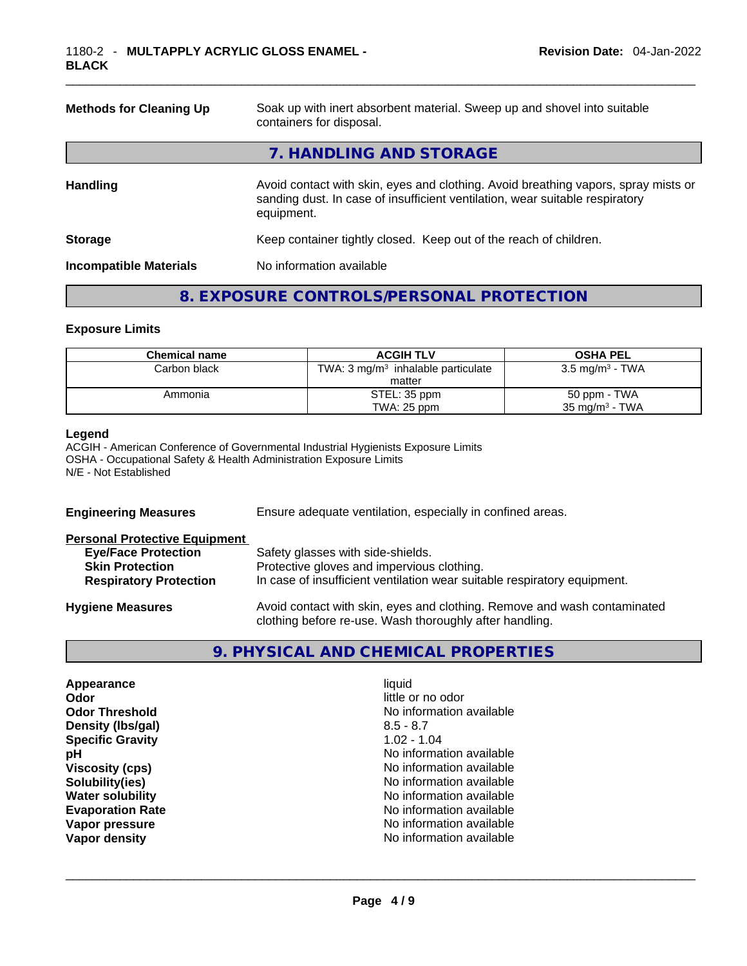| <b>Methods for Cleaning Up</b> | Soak up with inert absorbent material. Sweep up and shovel into suitable<br>containers for disposal.                                                                             |
|--------------------------------|----------------------------------------------------------------------------------------------------------------------------------------------------------------------------------|
|                                | 7. HANDLING AND STORAGE                                                                                                                                                          |
| <b>Handling</b>                | Avoid contact with skin, eyes and clothing. Avoid breathing vapors, spray mists or<br>sanding dust. In case of insufficient ventilation, wear suitable respiratory<br>equipment. |
| <b>Storage</b>                 | Keep container tightly closed. Keep out of the reach of children.                                                                                                                |
| <b>Incompatible Materials</b>  | No information available                                                                                                                                                         |
|                                |                                                                                                                                                                                  |

# **8. EXPOSURE CONTROLS/PERSONAL PROTECTION**

#### **Exposure Limits**

| <b>Chemical name</b> | <b>ACGIH TLV</b>                              | <b>OSHA PEL</b>            |
|----------------------|-----------------------------------------------|----------------------------|
| Carbon black         | TWA: $3 \text{ mg/m}^3$ inhalable particulate | $3.5 \text{ mg/m}^3$ - TWA |
|                      | matter                                        |                            |
| Ammonia              | STEL: 35 ppm                                  | 50 ppm - TWA               |
|                      | TWA: 25 ppm                                   | $35 \text{ ma/m}^3$ - TWA  |

#### **Legend**

ACGIH - American Conference of Governmental Industrial Hygienists Exposure Limits OSHA - Occupational Safety & Health Administration Exposure Limits N/E - Not Established

| <b>Engineering Measures</b>          | Ensure adequate ventilation, especially in confined areas.                                                                          |
|--------------------------------------|-------------------------------------------------------------------------------------------------------------------------------------|
| <b>Personal Protective Equipment</b> |                                                                                                                                     |
| <b>Eye/Face Protection</b>           | Safety glasses with side-shields.                                                                                                   |
| <b>Skin Protection</b>               | Protective gloves and impervious clothing.                                                                                          |
| <b>Respiratory Protection</b>        | In case of insufficient ventilation wear suitable respiratory equipment.                                                            |
| <b>Hygiene Measures</b>              | Avoid contact with skin, eyes and clothing. Remove and wash contaminated<br>clothing before re-use. Wash thoroughly after handling. |
|                                      |                                                                                                                                     |

## **9. PHYSICAL AND CHEMICAL PROPERTIES**

| Appearance              | liquid            |
|-------------------------|-------------------|
| Odor                    | little or no odor |
| <b>Odor Threshold</b>   | No information av |
| Density (Ibs/gal)       | $8.5 - 8.7$       |
| <b>Specific Gravity</b> | $1.02 - 1.04$     |
| рH                      | No information av |
| <b>Viscosity (cps)</b>  | No information av |
| Solubility(ies)         | No information av |
| <b>Water solubility</b> | No information av |
| <b>Evaporation Rate</b> | No information av |
| Vapor pressure          | No information av |
| Vapor density           | No information av |

**Odor** little or no odor **No information available** 8.5 - 8.7 **Density (lbs/gal)** 8.5 - 8.7 **Specific Gravity** 1.02 - 1.04 **No information available Viscosity (cps)** No information available **No information available No information available No information available** No information available<br>No information available **Vapor density** No information available \_\_\_\_\_\_\_\_\_\_\_\_\_\_\_\_\_\_\_\_\_\_\_\_\_\_\_\_\_\_\_\_\_\_\_\_\_\_\_\_\_\_\_\_\_\_\_\_\_\_\_\_\_\_\_\_\_\_\_\_\_\_\_\_\_\_\_\_\_\_\_\_\_\_\_\_\_\_\_\_\_\_\_\_\_\_\_\_\_\_\_\_\_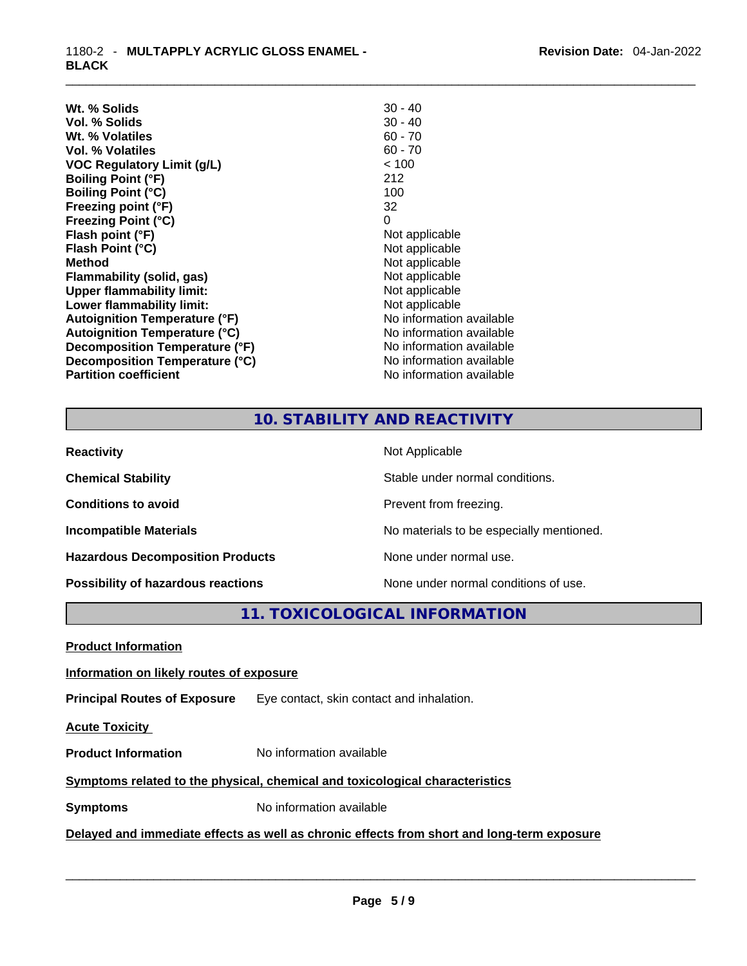\_\_\_\_\_\_\_\_\_\_\_\_\_\_\_\_\_\_\_\_\_\_\_\_\_\_\_\_\_\_\_\_\_\_\_\_\_\_\_\_\_\_\_\_\_\_\_\_\_\_\_\_\_\_\_\_\_\_\_\_\_\_\_\_\_\_\_\_\_\_\_\_\_\_\_\_\_\_\_\_\_\_\_\_\_\_\_\_\_\_\_\_\_ 1180-2 - **MULTAPPLY ACRYLIC GLOSS ENAMEL - BLACK** 

| $30 - 40$<br>$60 - 70$<br>$60 - 70$<br>< 100<br>212<br>100<br>32<br>0<br>Not applicable<br>Not applicable<br>Not applicable<br>Not applicable<br>Not applicable<br>Not applicable<br>No information available<br>No information available<br>No information available<br>No information available<br>No information available | Wt. % Solids                         | $30 - 40$ |
|-------------------------------------------------------------------------------------------------------------------------------------------------------------------------------------------------------------------------------------------------------------------------------------------------------------------------------|--------------------------------------|-----------|
|                                                                                                                                                                                                                                                                                                                               | Vol. % Solids                        |           |
|                                                                                                                                                                                                                                                                                                                               | Wt. % Volatiles                      |           |
|                                                                                                                                                                                                                                                                                                                               | Vol. % Volatiles                     |           |
|                                                                                                                                                                                                                                                                                                                               | <b>VOC Regulatory Limit (g/L)</b>    |           |
|                                                                                                                                                                                                                                                                                                                               | <b>Boiling Point (°F)</b>            |           |
|                                                                                                                                                                                                                                                                                                                               | <b>Boiling Point (°C)</b>            |           |
|                                                                                                                                                                                                                                                                                                                               | Freezing point (°F)                  |           |
|                                                                                                                                                                                                                                                                                                                               | <b>Freezing Point (°C)</b>           |           |
|                                                                                                                                                                                                                                                                                                                               | Flash point (°F)                     |           |
|                                                                                                                                                                                                                                                                                                                               | Flash Point (°C)                     |           |
|                                                                                                                                                                                                                                                                                                                               | <b>Method</b>                        |           |
|                                                                                                                                                                                                                                                                                                                               | Flammability (solid, gas)            |           |
|                                                                                                                                                                                                                                                                                                                               | <b>Upper flammability limit:</b>     |           |
|                                                                                                                                                                                                                                                                                                                               | Lower flammability limit:            |           |
|                                                                                                                                                                                                                                                                                                                               | <b>Autoignition Temperature (°F)</b> |           |
|                                                                                                                                                                                                                                                                                                                               | <b>Autoignition Temperature (°C)</b> |           |
|                                                                                                                                                                                                                                                                                                                               | Decomposition Temperature (°F)       |           |
|                                                                                                                                                                                                                                                                                                                               | Decomposition Temperature (°C)       |           |
|                                                                                                                                                                                                                                                                                                                               | <b>Partition coefficient</b>         |           |

# **10. STABILITY AND REACTIVITY**

| <b>Reactivity</b>                         | Not Applicable                           |
|-------------------------------------------|------------------------------------------|
| <b>Chemical Stability</b>                 | Stable under normal conditions.          |
| <b>Conditions to avoid</b>                | Prevent from freezing.                   |
| <b>Incompatible Materials</b>             | No materials to be especially mentioned. |
| <b>Hazardous Decomposition Products</b>   | None under normal use.                   |
| <b>Possibility of hazardous reactions</b> | None under normal conditions of use.     |

# **11. TOXICOLOGICAL INFORMATION**

| <b>Product Information</b>                                                   |                                                                                            |  |
|------------------------------------------------------------------------------|--------------------------------------------------------------------------------------------|--|
| Information on likely routes of exposure                                     |                                                                                            |  |
| <b>Principal Routes of Exposure</b>                                          | Eye contact, skin contact and inhalation.                                                  |  |
| <b>Acute Toxicity</b>                                                        |                                                                                            |  |
| <b>Product Information</b>                                                   | No information available                                                                   |  |
| Symptoms related to the physical, chemical and toxicological characteristics |                                                                                            |  |
| <b>Symptoms</b>                                                              | No information available                                                                   |  |
|                                                                              | Delayed and immediate effects as well as chronic effects from short and long-term exposure |  |
|                                                                              |                                                                                            |  |
|                                                                              |                                                                                            |  |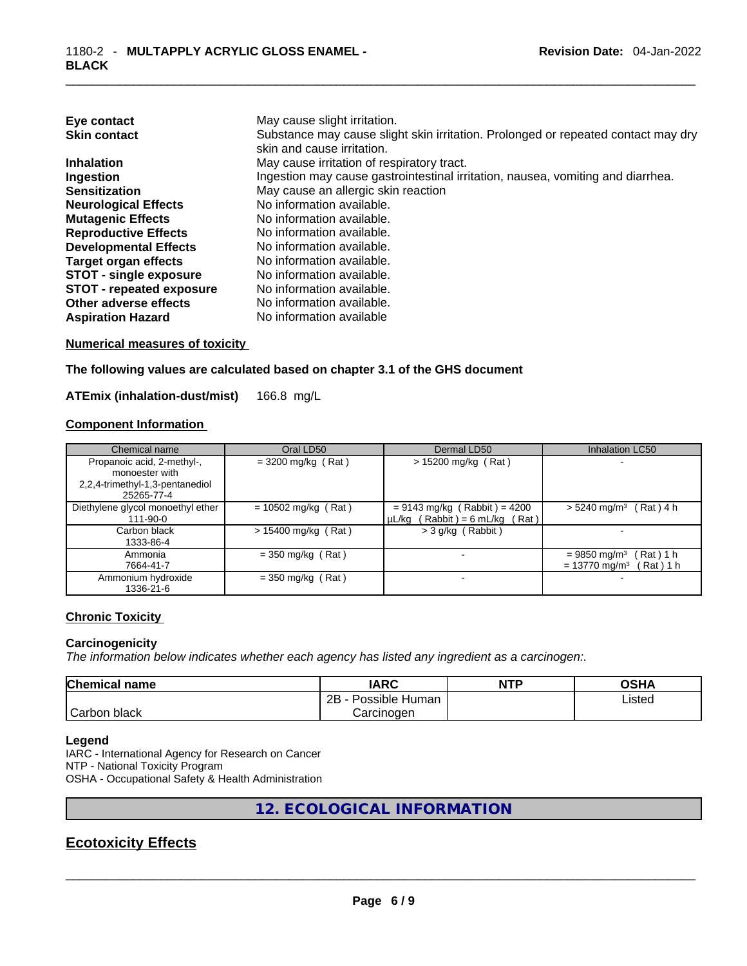| Eye contact                     | May cause slight irritation.                                                      |
|---------------------------------|-----------------------------------------------------------------------------------|
| <b>Skin contact</b>             | Substance may cause slight skin irritation. Prolonged or repeated contact may dry |
|                                 | skin and cause irritation.                                                        |
| <b>Inhalation</b>               | May cause irritation of respiratory tract.                                        |
| Ingestion                       | Ingestion may cause gastrointestinal irritation, nausea, vomiting and diarrhea.   |
| <b>Sensitization</b>            | May cause an allergic skin reaction                                               |
| <b>Neurological Effects</b>     | No information available.                                                         |
| <b>Mutagenic Effects</b>        | No information available.                                                         |
| <b>Reproductive Effects</b>     | No information available.                                                         |
| <b>Developmental Effects</b>    | No information available.                                                         |
| Target organ effects            | No information available.                                                         |
| <b>STOT - single exposure</b>   | No information available.                                                         |
| <b>STOT - repeated exposure</b> | No information available.                                                         |
| Other adverse effects           | No information available.                                                         |
| <b>Aspiration Hazard</b>        | No information available                                                          |

#### **Numerical measures of toxicity**

**The following values are calculated based on chapter 3.1 of the GHS document**

**ATEmix (inhalation-dust/mist)** 166.8 mg/L

#### **Component Information**

| Chemical name                     | Oral LD50             | Dermal LD50                         | <b>Inhalation LC50</b>                   |
|-----------------------------------|-----------------------|-------------------------------------|------------------------------------------|
| Propanoic acid, 2-methyl-,        | $=$ 3200 mg/kg (Rat)  | $> 15200$ mg/kg (Rat)               |                                          |
| monoester with                    |                       |                                     |                                          |
| 2,2,4-trimethyl-1,3-pentanediol   |                       |                                     |                                          |
| 25265-77-4                        |                       |                                     |                                          |
| Diethylene glycol monoethyl ether | $= 10502$ mg/kg (Rat) | $= 9143$ mg/kg (Rabbit) = 4200      | $> 5240$ mg/m <sup>3</sup> (Rat) 4 h     |
| 111-90-0                          |                       | $\mu L/kg$ (Rabbit) = 6 mL/kg (Rat) |                                          |
| Carbon black                      | $> 15400$ mg/kg (Rat) | > 3 g/kg (Rabbit)                   |                                          |
| 1333-86-4                         |                       |                                     |                                          |
| Ammonia                           | $=$ 350 mg/kg (Rat)   |                                     | $= 9850$ mg/m <sup>3</sup> (Rat) 1 h     |
| 7664-41-7                         |                       |                                     | $= 13770$ mg/m <sup>3</sup><br>Rat ) 1 h |
| Ammonium hydroxide                | $=$ 350 mg/kg (Rat)   |                                     |                                          |
| 1336-21-6                         |                       |                                     |                                          |

#### **Chronic Toxicity**

#### **Carcinogenicity**

*The information below indicates whether each agency has listed any ingredient as a carcinogen:.* 

| <b>Chemical name</b> | <b>IARC</b>          | <b>NTP</b> | OSHA   |
|----------------------|----------------------|------------|--------|
|                      | Possible Human<br>2B |            | Listed |
| Carbon<br>black      | Carcinogen           |            |        |

#### **Legend**

IARC - International Agency for Research on Cancer NTP - National Toxicity Program OSHA - Occupational Safety & Health Administration

**12. ECOLOGICAL INFORMATION** 

# **Ecotoxicity Effects**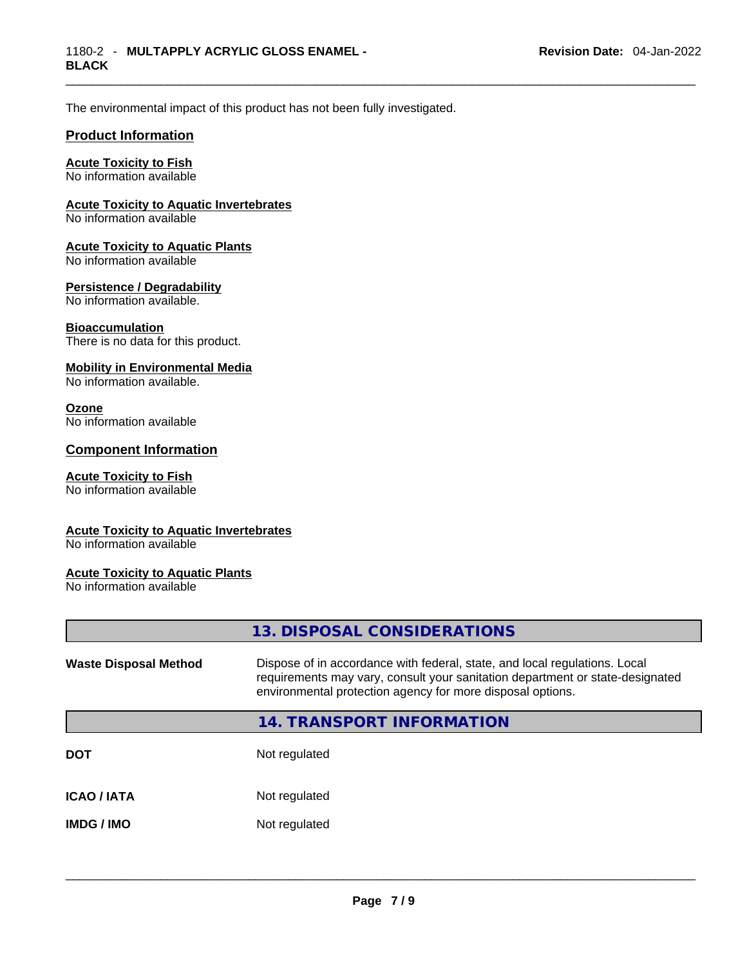The environmental impact of this product has not been fully investigated.

#### **Product Information**

#### **Acute Toxicity to Fish**

No information available

#### **Acute Toxicity to Aquatic Invertebrates**

No information available

#### **Acute Toxicity to Aquatic Plants**

No information available

#### **Persistence / Degradability**

No information available.

#### **Bioaccumulation**

There is no data for this product.

#### **Mobility in Environmental Media**

No information available.

#### **Ozone**

No information available

#### **Component Information**

#### **Acute Toxicity to Fish**

No information available

#### **Acute Toxicity to Aquatic Invertebrates**

No information available

#### **Acute Toxicity to Aquatic Plants**

No information available

|                              | 13. DISPOSAL CONSIDERATIONS                                                                                                                                                                                               |
|------------------------------|---------------------------------------------------------------------------------------------------------------------------------------------------------------------------------------------------------------------------|
| <b>Waste Disposal Method</b> | Dispose of in accordance with federal, state, and local regulations. Local<br>requirements may vary, consult your sanitation department or state-designated<br>environmental protection agency for more disposal options. |
|                              | 14. TRANSPORT INFORMATION                                                                                                                                                                                                 |
| <b>DOT</b>                   | Not regulated                                                                                                                                                                                                             |
| <b>ICAO / IATA</b>           | Not regulated                                                                                                                                                                                                             |
| <b>IMDG/IMO</b>              | Not regulated                                                                                                                                                                                                             |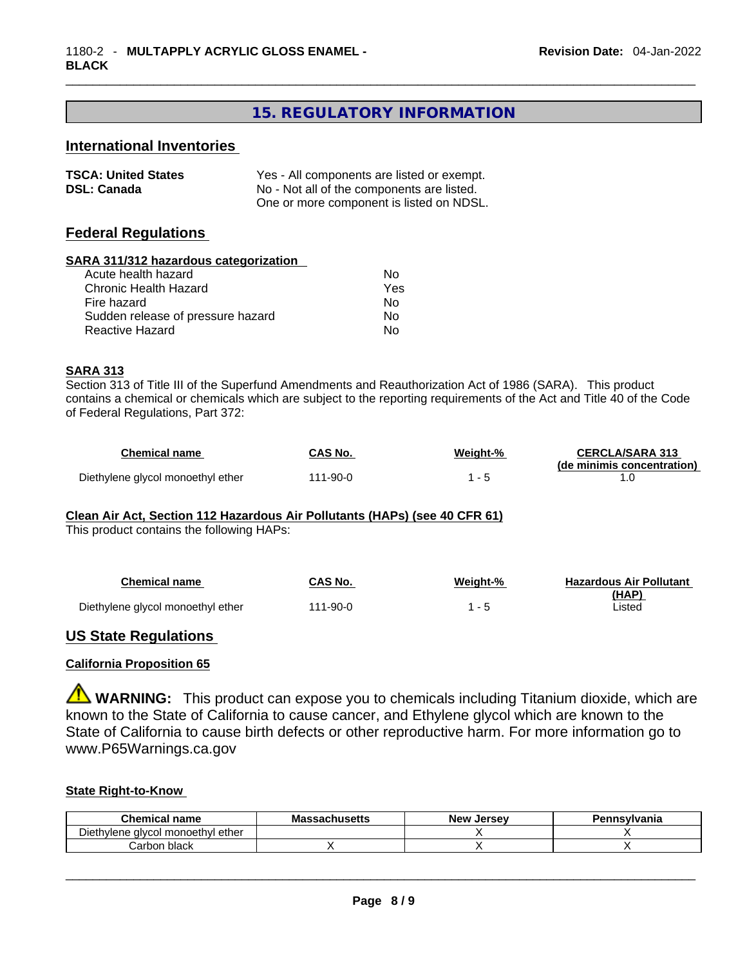## **15. REGULATORY INFORMATION**

#### **International Inventories**

| <b>TSCA: United States</b> | Yes - All components are listed or exempt. |
|----------------------------|--------------------------------------------|
| <b>DSL: Canada</b>         | No - Not all of the components are listed. |
|                            | One or more component is listed on NDSL.   |

#### **Federal Regulations**

| SARA 311/312 hazardous categorization |     |  |
|---------------------------------------|-----|--|
| Acute health hazard                   | Nο  |  |
| Chronic Health Hazard                 | Yes |  |
| Fire hazard                           | No  |  |
| Sudden release of pressure hazard     | No  |  |
| Reactive Hazard                       | No  |  |
|                                       |     |  |

#### **SARA 313**

Section 313 of Title III of the Superfund Amendments and Reauthorization Act of 1986 (SARA). This product contains a chemical or chemicals which are subject to the reporting requirements of the Act and Title 40 of the Code of Federal Regulations, Part 372:

| <b>Chemical name</b>              | CAS No.      | Weiaht-% | <b>CERCLA/SARA 313</b>     |
|-----------------------------------|--------------|----------|----------------------------|
|                                   |              |          | (de minimis concentration) |
| Diethylene glycol monoethyl ether | $1 - 90 - 0$ |          |                            |

#### **Clean Air Act,Section 112 Hazardous Air Pollutants (HAPs) (see 40 CFR 61)**

This product contains the following HAPs:

| <b>Chemical name</b>              | CAS No.  | Weiaht-% | <b>Hazardous Air Pollutant</b> |
|-----------------------------------|----------|----------|--------------------------------|
|                                   |          |          | (HAP)                          |
| Diethylene glycol monoethyl ether | 111-90-0 |          | _isted                         |

#### **US State Regulations**

#### **California Proposition 65**

**WARNING:** This product can expose you to chemicals including Titanium dioxide, which are known to the State of California to cause cancer, and Ethylene glycol which are known to the State of California to cause birth defects or other reproductive harm. For more information go to www.P65Warnings.ca.gov

#### **State Right-to-Know**

| Chemical<br>name                  | Massachusetts | <b>New</b><br><b>Jersev</b> | Pennsvlvania |
|-----------------------------------|---------------|-----------------------------|--------------|
| Diethylene glycol monoethyl ether |               |                             |              |
| Carbon black                      |               |                             |              |